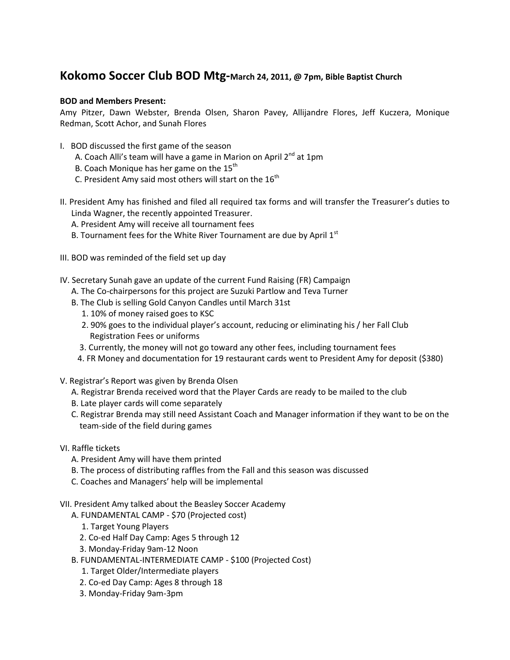## **Kokomo Soccer Club BOD Mtg-March 24, 2011, @ 7pm, Bible Baptist Church**

## **BOD and Members Present:**

Amy Pitzer, Dawn Webster, Brenda Olsen, Sharon Pavey, Allijandre Flores, Jeff Kuczera, Monique Redman, Scott Achor, and Sunah Flores

- I. BOD discussed the first game of the season
	- A. Coach Alli's team will have a game in Marion on April  $2^{nd}$  at 1pm
	- B. Coach Monique has her game on the  $15<sup>th</sup>$
	- C. President Amy said most others will start on the  $16^{th}$
- II. President Amy has finished and filed all required tax forms and will transfer the Treasurer's duties to Linda Wagner, the recently appointed Treasurer.
	- A. President Amy will receive all tournament fees
	- B. Tournament fees for the White River Tournament are due by April  $1<sup>st</sup>$
- III. BOD was reminded of the field set up day
- IV. Secretary Sunah gave an update of the current Fund Raising (FR) Campaign
	- A. The Co-chairpersons for this project are Suzuki Partlow and Teva Turner
	- B. The Club is selling Gold Canyon Candles until March 31st
		- 1. 10% of money raised goes to KSC
		- 2. 90% goes to the individual player's account, reducing or eliminating his / her Fall Club Registration Fees or uniforms
		- 3. Currently, the money will not go toward any other fees, including tournament fees
	- 4. FR Money and documentation for 19 restaurant cards went to President Amy for deposit (\$380)
- V. Registrar's Report was given by Brenda Olsen
	- A. Registrar Brenda received word that the Player Cards are ready to be mailed to the club
	- B. Late player cards will come separately
	- C. Registrar Brenda may still need Assistant Coach and Manager information if they want to be on the team-side of the field during games
- VI. Raffle tickets
	- A. President Amy will have them printed
	- B. The process of distributing raffles from the Fall and this season was discussed
	- C. Coaches and Managers' help will be implemental
- VII. President Amy talked about the Beasley Soccer Academy
	- A. FUNDAMENTAL CAMP \$70 (Projected cost)
		- 1. Target Young Players
		- 2. Co-ed Half Day Camp: Ages 5 through 12
		- 3. Monday-Friday 9am-12 Noon
	- B. FUNDAMENTAL-INTERMEDIATE CAMP \$100 (Projected Cost)
		- 1. Target Older/Intermediate players
		- 2. Co-ed Day Camp: Ages 8 through 18
		- 3. Monday-Friday 9am-3pm